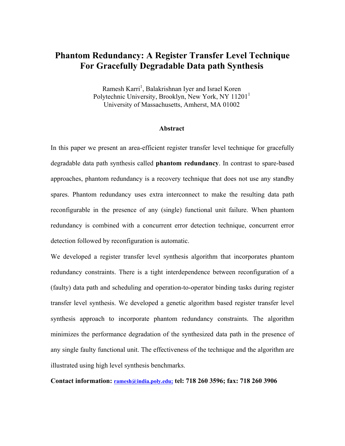# **Phantom Redundancy: A Register Transfer Level Technique For Gracefully Degradable Data path Synthesis**

Ramesh Karri<sup>1</sup>, Balakrishnan Iyer and Israel Koren Polytechnic University, Brooklyn, New York, NY 11201<sup>1</sup> University of Massachusetts, Amherst, MA 01002

#### **Abstract**

In this paper we present an area-efficient register transfer level technique for gracefully degradable data path synthesis called **phantom redundancy**. In contrast to spare-based approaches, phantom redundancy is a recovery technique that does not use any standby spares. Phantom redundancy uses extra interconnect to make the resulting data path reconfigurable in the presence of any (single) functional unit failure. When phantom redundancy is combined with a concurrent error detection technique, concurrent error detection followed by reconfiguration is automatic.

We developed a register transfer level synthesis algorithm that incorporates phantom redundancy constraints. There is a tight interdependence between reconfiguration of a (faulty) data path and scheduling and operation-to-operator binding tasks during register transfer level synthesis. We developed a genetic algorithm based register transfer level synthesis approach to incorporate phantom redundancy constraints. The algorithm minimizes the performance degradation of the synthesized data path in the presence of any single faulty functional unit. The effectiveness of the technique and the algorithm are illustrated using high level synthesis benchmarks.

**Contact information: [ramesh@india.poly.edu;](mailto:ramesh@india.poly.edu;) tel: 718 260 3596; fax: 718 260 3906**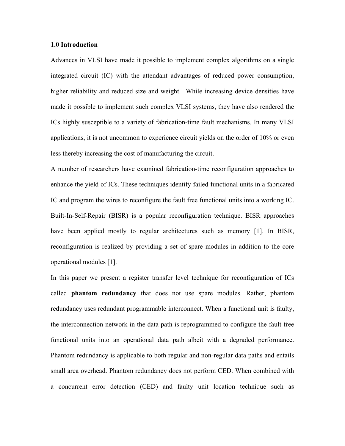### **1.0 Introduction**

Advances in VLSI have made it possible to implement complex algorithms on a single integrated circuit (IC) with the attendant advantages of reduced power consumption, higher reliability and reduced size and weight. While increasing device densities have made it possible to implement such complex VLSI systems, they have also rendered the ICs highly susceptible to a variety of fabrication-time fault mechanisms. In many VLSI applications, it is not uncommon to experience circuit yields on the order of 10% or even less thereby increasing the cost of manufacturing the circuit.

A number of researchers have examined fabrication-time reconfiguration approaches to enhance the yield of ICs. These techniques identify failed functional units in a fabricated IC and program the wires to reconfigure the fault free functional units into a working IC. Built-In-Self-Repair (BISR) is a popular reconfiguration technique. BISR approaches have been applied mostly to regular architectures such as memory [\[1\]](#page-29-0). In BISR, reconfiguration is realized by providing a set of spare modules in addition to the core operational modules [\[1\]](#page-29-0).

In this paper we present a register transfer level technique for reconfiguration of ICs called **phantom redundancy** that does not use spare modules. Rather, phantom redundancy uses redundant programmable interconnect. When a functional unit is faulty, the interconnection network in the data path is reprogrammed to configure the fault-free functional units into an operational data path albeit with a degraded performance. Phantom redundancy is applicable to both regular and non-regular data paths and entails small area overhead. Phantom redundancy does not perform CED. When combined with a concurrent error detection (CED) and faulty unit location technique such as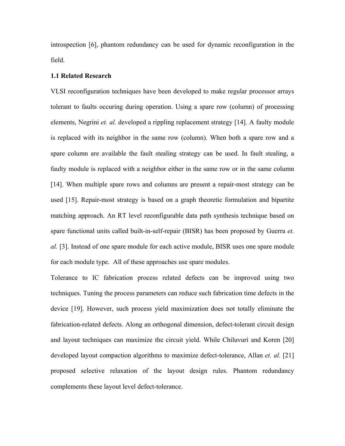introspection [\[6\]](#page-29-1), phantom redundancy can be used for dynamic reconfiguration in the field.

#### **1.1 Related Research**

VLSI reconfiguration techniques have been developed to make regular processor arrays tolerant to faults occuring during operation. Using a spare row (column) of processing elements, Negrini *et. al.* developed a rippling replacement strategy [\[14\]](#page-30-0). A faulty module is replaced with its neighbor in the same row (column). When both a spare row and a spare column are available the fault stealing strategy can be used. In fault stealing, a faulty module is replaced with a neighbor either in the same row or in the same column [[14\]](#page-30-0). When multiple spare rows and columns are present a repair-most strategy can be used [\[15\]](#page-30-1). Repair-most strategy is based on a graph theoretic formulation and bipartite matching approach. An RT level reconfigurable data path synthesis technique based on spare functional units called built-in-self-repair (BISR) has been proposed by Guerra *et. al.* [\[3\]](#page-29-2). Instead of one spare module for each active module, BISR uses one spare module for each module type. All of these approaches use spare modules.

Tolerance to IC fabrication process related defects can be improved using two techniques. Tuning the process parameters can reduce such fabrication time defects in the device [\[19\]](#page-30-2). However, such process yield maximization does not totally eliminate the fabrication-related defects. Along an orthogonal dimension, defect-tolerant circuit design and layout techniques can maximize the circuit yield. While Chiluvuri and Koren [\[20\]](#page-30-3) developed layout compaction algorithms to maximize defect-tolerance, Allan *et. al.* [[21\]](#page-30-4) proposed selective relaxation of the layout design rules. Phantom redundancy complements these layout level defect-tolerance.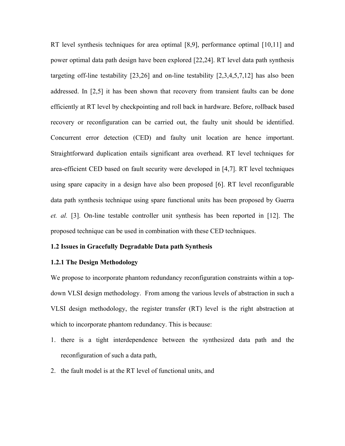RT level synthesis techniques for area optimal [\[8,](#page-29-3)[9\]](#page-29-4), performance optimal [[10,](#page-29-5)[11\]](#page-29-6) and power optimal data path design have been explored [\[22,](#page-30-5)[24\]](#page-30-6). RT level data path synthesis targeting off-line testability [\[23,](#page-30-7)[26\]](#page-31-0) and on-line testability [\[2,](#page-29-7)[3,](#page-29-2)[4,](#page-29-8)[5,](#page-29-9)[7,](#page-29-10)[12\]](#page-29-11) has also been addressed. In [\[2,](#page-29-7)[5\]](#page-29-9) it has been shown that recovery from transient faults can be done efficiently at RT level by checkpointing and roll back in hardware. Before, rollback based recovery or reconfiguration can be carried out, the faulty unit should be identified. Concurrent error detection (CED) and faulty unit location are hence important. Straightforward duplication entails significant area overhead. RT level techniques for area-efficient CED based on fault security were developed in [\[4,](#page-29-8)[7\]](#page-29-10). RT level techniques using spare capacity in a design have also been proposed [\[6\]](#page-29-1). RT level reconfigurable data path synthesis technique using spare functional units has been proposed by Guerra *et. al.* [\[3\]](#page-29-2). On-line testable controller unit synthesis has been reported in [\[12\]](#page-29-11). The proposed technique can be used in combination with these CED techniques.

# **1.2 Issues in Gracefully Degradable Data path Synthesis**

# **1.2.1 The Design Methodology**

We propose to incorporate phantom redundancy reconfiguration constraints within a topdown VLSI design methodology. From among the various levels of abstraction in such a VLSI design methodology, the register transfer (RT) level is the right abstraction at which to incorporate phantom redundancy. This is because:

- 1. there is a tight interdependence between the synthesized data path and the reconfiguration of such a data path,
- 2. the fault model is at the RT level of functional units, and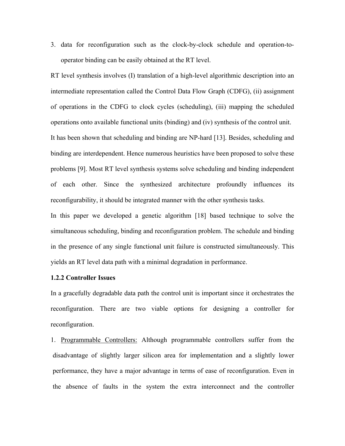3. data for reconfiguration such as the clock-by-clock schedule and operation-tooperator binding can be easily obtained at the RT level.

RT level synthesis involves (I) translation of a high-level algorithmic description into an intermediate representation called the Control Data Flow Graph (CDFG), (ii) assignment of operations in the CDFG to clock cycles (scheduling), (iii) mapping the scheduled operations onto available functional units (binding) and (iv) synthesis of the control unit. It has been shown that scheduling and binding are NP-hard [\[13\]](#page-29-12). Besides, scheduling and binding are interdependent. Hence numerous heuristics have been proposed to solve these problems [\[9\]](#page-29-4). Most RT level synthesis systems solve scheduling and binding independent of each other. Since the synthesized architecture profoundly influences its reconfigurability, it should be integrated manner with the other synthesis tasks.

In this paper we developed a genetic algorithm [\[18\]](#page-30-8) based technique to solve the simultaneous scheduling, binding and reconfiguration problem. The schedule and binding in the presence of any single functional unit failure is constructed simultaneously. This yields an RT level data path with a minimal degradation in performance.

# **1.2.2 Controller Issues**

In a gracefully degradable data path the control unit is important since it orchestrates the reconfiguration. There are two viable options for designing a controller for reconfiguration.

1. Programmable Controllers: Although programmable controllers suffer from the disadvantage of slightly larger silicon area for implementation and a slightly lower performance, they have a major advantage in terms of ease of reconfiguration. Even in the absence of faults in the system the extra interconnect and the controller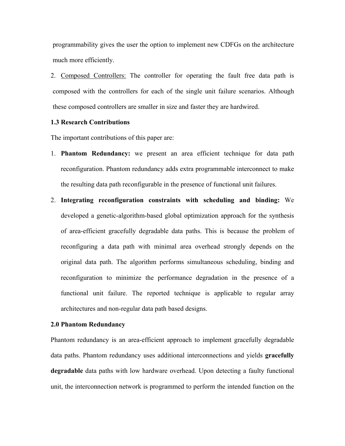programmability gives the user the option to implement new CDFGs on the architecture much more efficiently.

2. Composed Controllers: The controller for operating the fault free data path is composed with the controllers for each of the single unit failure scenarios. Although these composed controllers are smaller in size and faster they are hardwired.

# **1.3 Research Contributions**

The important contributions of this paper are:

- 1. **Phantom Redundancy:** we present an area efficient technique for data path reconfiguration. Phantom redundancy adds extra programmable interconnect to make the resulting data path reconfigurable in the presence of functional unit failures.
- 2. **Integrating reconfiguration constraints with scheduling and binding:** We developed a genetic-algorithm-based global optimization approach for the synthesis of area-efficient gracefully degradable data paths. This is because the problem of reconfiguring a data path with minimal area overhead strongly depends on the original data path. The algorithm performs simultaneous scheduling, binding and reconfiguration to minimize the performance degradation in the presence of a functional unit failure. The reported technique is applicable to regular array architectures and non-regular data path based designs.

#### **2.0 Phantom Redundancy**

Phantom redundancy is an area-efficient approach to implement gracefully degradable data paths. Phantom redundancy uses additional interconnections and yields **gracefully degradable** data paths with low hardware overhead. Upon detecting a faulty functional unit, the interconnection network is programmed to perform the intended function on the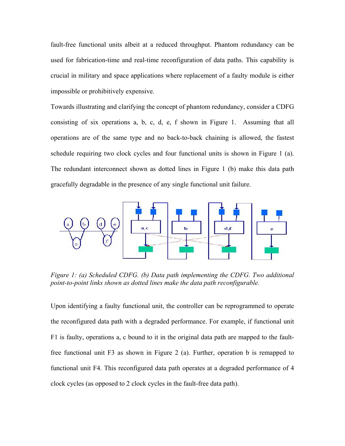fault-free functional units albeit at a reduced throughput. Phantom redundancy can be used for fabrication-time and real-time reconfiguration of data paths. This capability is crucial in military and space applications where replacement of a faulty module is either impossible or prohibitively expensive.

Towards illustrating and clarifying the concept of phantom redundancy, consider a CDFG consisting of six operations a, b, c, d, e, f shown in [Figure 1.](#page-6-0) Assuming that all operations are of the same type and no back-to-back chaining is allowed, the fastest schedule requiring two clock cycles and four functional units is shown in [Figure 1](#page-6-0) (a). The redundant interconnect shown as dotted lines in [Figure 1](#page-6-0) (b) make this data path gracefully degradable in the presence of any single functional unit failure.

<span id="page-6-0"></span>

*Figure 1: (a) Scheduled CDFG. (b) Data path implementing the CDFG. Two additional point-to-point links shown as dotted lines make the data path reconfigurable.* 

Upon identifying a faulty functional unit, the controller can be reprogrammed to operate the reconfigured data path with a degraded performance. For example, if functional unit F1 is faulty, operations a, c bound to it in the original data path are mapped to the faultfree functional unit F3 as shown in [Figure 2](#page-7-0) (a). Further, operation b is remapped to functional unit F4. This reconfigured data path operates at a degraded performance of 4 clock cycles (as opposed to 2 clock cycles in the fault-free data path).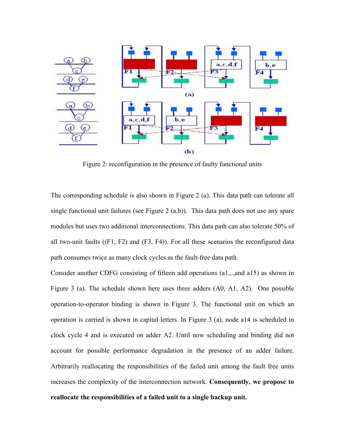<span id="page-7-0"></span>

Figure 2: reconfiguration in the presence of faulty functional units

The corresponding schedule is also shown in [Figure 2](#page-7-0) (a). This data path can tolerate all single functional unit failures (see [Figure 2](#page-7-0)  $(a,b)$ ). This data path does not use any spare modules but uses two additional interconnections. This data path can also tolerate 50% of all two-unit faults ((F1, F2) and (F3, F4)). For all these scenarios the reconfigured data path consumes twice as many clock cycles as the fault-free data path.

Consider another CDFG consisting of fifteen add operations (a1,..,and a15) as shown in [Figure 3](#page-8-0) (a). The schedule shown here uses three adders (A0, A1, A2). One possible operation-to-operator binding is shown in [Figure 3.](#page-8-0) The functional unit on which an operation is carried is shown in capital letters. In Figure 3 (a), node a14 is scheduled in clock cycle 4 and is executed on adder A2. Until now scheduling and binding did not account for possible performance degradation in the presence of an adder failure. Arbitrarily reallocating the responsibilities of the failed unit among the fault free units increases the complexity of the interconnection network. **Consequently, we propose to reallocate the responsibilities of a failed unit to a single backup unit.**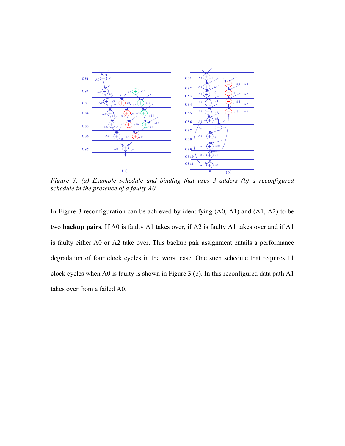

<span id="page-8-0"></span>*Figure 3: (a) Example schedule and binding that uses 3 adders (b) a reconfigured schedule in the presence of a faulty A0.* 

In Figure 3 reconfiguration can be achieved by identifying (A0, A1) and (A1, A2) to be two **backup pairs**. If A0 is faulty A1 takes over, if A2 is faulty A1 takes over and if A1 is faulty either A0 or A2 take over. This backup pair assignment entails a performance degradation of four clock cycles in the worst case. One such schedule that requires 11 clock cycles when A0 is faulty is shown in Figure 3 (b). In this reconfigured data path A1 takes over from a failed A0.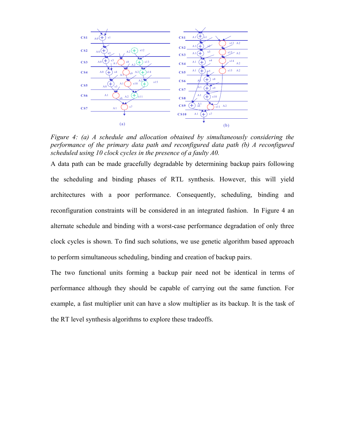

*Figure 4: (a) A schedule and allocation obtained by simultaneously considering the performance of the primary data path and reconfigured data path (b) A reconfigured scheduled using 10 clock cycles in the presence of a faulty A0.* 

A data path can be made gracefully degradable by determining backup pairs following the scheduling and binding phases of RTL synthesis. However, this will yield architectures with a poor performance. Consequently, scheduling, binding and reconfiguration constraints will be considered in an integrated fashion. In Figure 4 an alternate schedule and binding with a worst-case performance degradation of only three clock cycles is shown. To find such solutions, we use genetic algorithm based approach to perform simultaneous scheduling, binding and creation of backup pairs.

The two functional units forming a backup pair need not be identical in terms of performance although they should be capable of carrying out the same function. For example, a fast multiplier unit can have a slow multiplier as its backup. It is the task of the RT level synthesis algorithms to explore these tradeoffs.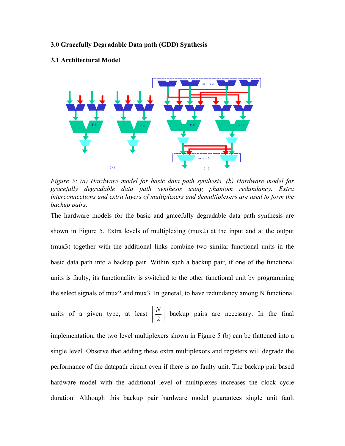# **3.0 Gracefully Degradable Data path (GDD) Synthesis**

#### **3.1 Architectural Model**



<span id="page-10-0"></span>*Figure 5: (a) Hardware model for basic data path synthesis. (b) Hardware model for gracefully degradable data path synthesis using phantom redundancy. Extra interconnections and extra layers of multiplexers and demultiplexers are used to form the backup pairs.* 

The hardware models for the basic and gracefully degradable data path synthesis are shown in [Figure 5.](#page-10-0) Extra levels of multiplexing (mux2) at the input and at the output (mux3) together with the additional links combine two similar functional units in the basic data path into a backup pair. Within such a backup pair, if one of the functional units is faulty, its functionality is switched to the other functional unit by programming the select signals of mux2 and mux3. In general, to have redundancy among N functional units of a given type, at least  $\left|\frac{1}{2}\right|$  $\overline{\phantom{a}}$ | 2 *N*  $\left|\frac{N}{2}\right|$  backup pairs are necessary. In the final implementation, the two level multiplexers shown in [Figure 5](#page-10-0) (b) can be flattened into a single level. Observe that adding these extra multiplexors and registers will degrade the performance of the datapath circuit even if there is no faulty unit. The backup pair based hardware model with the additional level of multiplexes increases the clock cycle duration. Although this backup pair hardware model guarantees single unit fault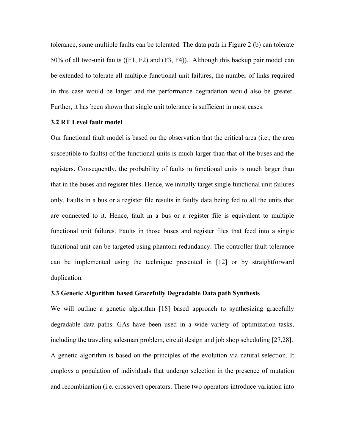tolerance, some multiple faults can be tolerated. The data path in [Figure 2](#page-7-0) (b) can tolerate 50% of all two-unit faults ((F1, F2) and (F3, F4)). Although this backup pair model can be extended to tolerate all multiple functional unit failures, the number of links required in this case would be larger and the performance degradation would also be greater. Further, it has been shown that single unit tolerance is sufficient in most cases.

#### **3.2 RT Level fault model**

Our functional fault model is based on the observation that the critical area (i.e., the area susceptible to faults) of the functional units is much larger than that of the buses and the registers. Consequently, the probability of faults in functional units is much larger than that in the buses and register files. Hence, we initially target single functional unit failures only. Faults in a bus or a register file results in faulty data being fed to all the units that are connected to it. Hence, fault in a bus or a register file is equivalent to multiple functional unit failures. Faults in those buses and register files that feed into a single functional unit can be targeted using phantom redundancy. The controller fault-tolerance can be implemented using the technique presented in [\[12\]](#page-29-11) or by straightforward duplication.

#### **3.3 Genetic Algorithm based Gracefully Degradable Data path Synthesis**

We will outline a genetic algorithm [\[18\]](#page-30-8) based approach to synthesizing gracefully degradable data paths. GAs have been used in a wide variety of optimization tasks, including the traveling salesman problem, circuit design and job shop scheduling [\[27](#page-31-1)[,28\]](#page-31-2). A genetic algorithm is based on the principles of the evolution via natural selection. It employs a population of individuals that undergo selection in the presence of mutation and recombination (i.e. crossover) operators. These two operators introduce variation into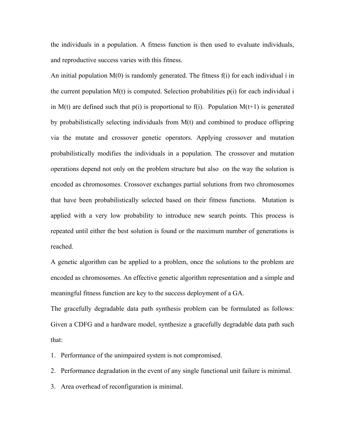the individuals in a population. A fitness function is then used to evaluate individuals, and reproductive success varies with this fitness.

An initial population M(0) is randomly generated. The fitness f(i) for each individual i in the current population  $M(t)$  is computed. Selection probabilities  $p(i)$  for each individual i in M(t) are defined such that  $p(i)$  is proportional to f(i). Population M(t+1) is generated by probabilistically selecting individuals from M(t) and combined to produce offspring via the mutate and crossover genetic operators. Applying crossover and mutation probabilistically modifies the individuals in a population. The crossover and mutation operations depend not only on the problem structure but also on the way the solution is encoded as chromosomes. Crossover exchanges partial solutions from two chromosomes that have been probabilistically selected based on their fitness functions. Mutation is applied with a very low probability to introduce new search points. This process is repeated until either the best solution is found or the maximum number of generations is reached.

A genetic algorithm can be applied to a problem, once the solutions to the problem are encoded as chromosomes. An effective genetic algorithm representation and a simple and meaningful fitness function are key to the success deployment of a GA.

The gracefully degradable data path synthesis problem can be formulated as follows: Given a CDFG and a hardware model, synthesize a gracefully degradable data path such that:

1. Performance of the unimpaired system is not compromised.

2. Performance degradation in the event of any single functional unit failure is minimal.

3. Area overhead of reconfiguration is minimal.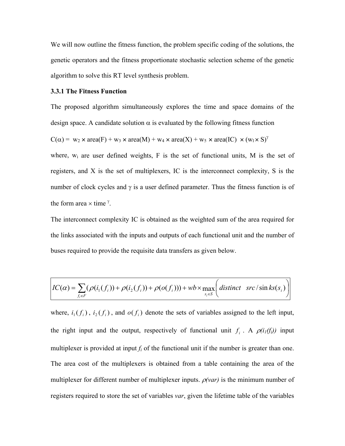We will now outline the fitness function, the problem specific coding of the solutions, the genetic operators and the fitness proportionate stochastic selection scheme of the genetic algorithm to solve this RT level synthesis problem.

#### **3.3.1 The Fitness Function**

The proposed algorithm simultaneously explores the time and space domains of the design space. A candidate solution  $\alpha$  is evaluated by the following fitness function

 $C(\alpha) = w_2 \times \text{area}(F) + w_3 \times \text{area}(M) + w_4 \times \text{area}(X) + w_5 \times \text{area}(IC) \times (w_1 \times S)^{\gamma}$ 

where,  $w_i$  are user defined weights, F is the set of functional units, M is the set of registers, and X is the set of multiplexers, IC is the interconnect complexity, S is the number of clock cycles and  $\gamma$  is a user defined parameter. Thus the fitness function is of the form area  $\times$  time<sup> $\gamma$ </sup>.

The interconnect complexity IC is obtained as the weighted sum of the area required for the links associated with the inputs and outputs of each functional unit and the number of buses required to provide the requisite data transfers as given below.

$$
IC(\alpha) = \sum_{f_i \in F} (\rho(i_1(f_i)) + \rho(i_2(f_i)) + \rho(o(f_i))) + wb \times \max_{s_i \in S} \left( distinct \ src/\sin ks(s_i) \right)
$$

where,  $i_1(f_i)$ ,  $i_2(f_i)$ , and  $o(f_i)$  denote the sets of variables assigned to the left input, the right input and the output, respectively of functional unit  $f_i$ . A  $\rho(i_l(f_i))$  input multiplexer is provided at input  $f_i$  of the functional unit if the number is greater than one. The area cost of the multiplexers is obtained from a table containing the area of the multiplexer for different number of multiplexer inputs. ρ*(var)* is the minimum number of registers required to store the set of variables *var*, given the lifetime table of the variables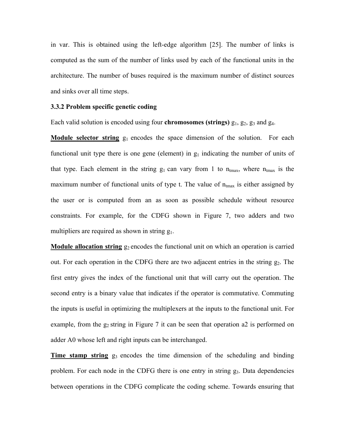in var. This is obtained using the left-edge algorithm [\[25\]](#page-30-9). The number of links is computed as the sum of the number of links used by each of the functional units in the architecture. The number of buses required is the maximum number of distinct sources and sinks over all time steps.

## **3.3.2 Problem specific genetic coding**

Each valid solution is encoded using four **chromosomes (strings)**  $g_1$ ,  $g_2$ ,  $g_3$  and  $g_4$ .

**Module selector string** g<sub>1</sub> encodes the space dimension of the solution. For each functional unit type there is one gene (element) in  $g_1$  indicating the number of units of that type. Each element in the string  $g_1$  can vary from 1 to  $n_{\text{tmax}}$ , where  $n_{\text{tmax}}$  is the maximum number of functional units of type t. The value of  $n_{tmax}$  is either assigned by the user or is computed from an as soon as possible schedule without resource constraints. For example, for the CDFG shown in [Figure 7,](#page-15-0) two adders and two multipliers are required as shown in string  $g_1$ .

**Module allocation string**  $g_2$  encodes the functional unit on which an operation is carried out. For each operation in the CDFG there are two adjacent entries in the string  $g_2$ . The first entry gives the index of the functional unit that will carry out the operation. The second entry is a binary value that indicates if the operator is commutative. Commuting the inputs is useful in optimizing the multiplexers at the inputs to the functional unit. For example, from the  $g_2$  string in [Figure 7](#page-15-0) it can be seen that operation a2 is performed on adder A0 whose left and right inputs can be interchanged.

**Time stamp string**  $g_3$  encodes the time dimension of the scheduling and binding problem. For each node in the CDFG there is one entry in string g3. Data dependencies between operations in the CDFG complicate the coding scheme. Towards ensuring that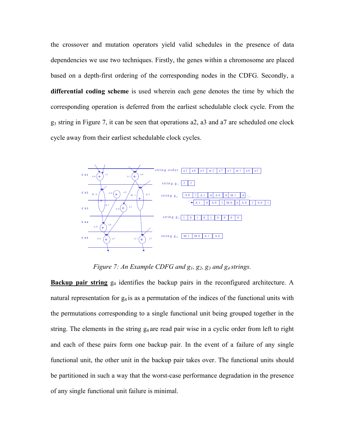the crossover and mutation operators yield valid schedules in the presence of data dependencies we use two techniques. Firstly, the genes within a chromosome are placed based on a depth-first ordering of the corresponding nodes in the CDFG. Secondly, a **differential coding scheme** is used wherein each gene denotes the time by which the corresponding operation is deferred from the earliest schedulable clock cycle. From the g3 string in [Figure 7,](#page-15-0) it can be seen that operations a2, a3 and a7 are scheduled one clock cycle away from their earliest schedulable clock cycles.



<span id="page-15-0"></span>*Figure 7: An Example CDFG and*  $g_1$ *,*  $g_2$ *,*  $g_3$  *and*  $g_4$  *strings.* 

**Backup pair string**  $g_4$  identifies the backup pairs in the reconfigured architecture. A natural representation for  $g_4$  is as a permutation of the indices of the functional units with the permutations corresponding to a single functional unit being grouped together in the string. The elements in the string  $g_4$  are read pair wise in a cyclic order from left to right and each of these pairs form one backup pair. In the event of a failure of any single functional unit, the other unit in the backup pair takes over. The functional units should be partitioned in such a way that the worst-case performance degradation in the presence of any single functional unit failure is minimal.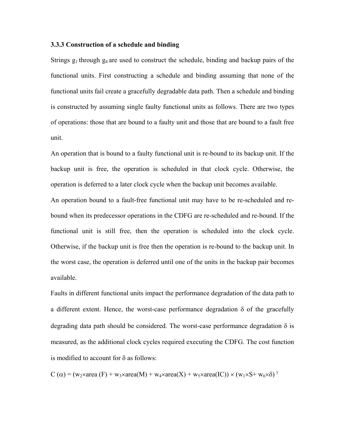### **3.3.3 Construction of a schedule and binding**

Strings  $g_1$  through  $g_4$  are used to construct the schedule, binding and backup pairs of the functional units. First constructing a schedule and binding assuming that none of the functional units fail create a gracefully degradable data path. Then a schedule and binding is constructed by assuming single faulty functional units as follows. There are two types of operations: those that are bound to a faulty unit and those that are bound to a fault free unit.

An operation that is bound to a faulty functional unit is re-bound to its backup unit. If the backup unit is free, the operation is scheduled in that clock cycle. Otherwise, the operation is deferred to a later clock cycle when the backup unit becomes available.

An operation bound to a fault-free functional unit may have to be re-scheduled and rebound when its predecessor operations in the CDFG are re-scheduled and re-bound. If the functional unit is still free, then the operation is scheduled into the clock cycle. Otherwise, if the backup unit is free then the operation is re-bound to the backup unit. In the worst case, the operation is deferred until one of the units in the backup pair becomes available.

Faults in different functional units impact the performance degradation of the data path to a different extent. Hence, the worst-case performance degradation  $\delta$  of the gracefully degrading data path should be considered. The worst-case performance degradation  $\delta$  is measured, as the additional clock cycles required executing the CDFG. The cost function is modified to account for  $\delta$  as follows:

C ( $\alpha$ ) = (w<sub>2</sub>×area (F) + w<sub>3</sub>×area(M) + w<sub>4</sub>×area(X) + w<sub>5</sub>×area(IC)) × (w<sub>1</sub>×S+ w<sub>6</sub>× $\delta$ )<sup>  $\gamma$ </sup>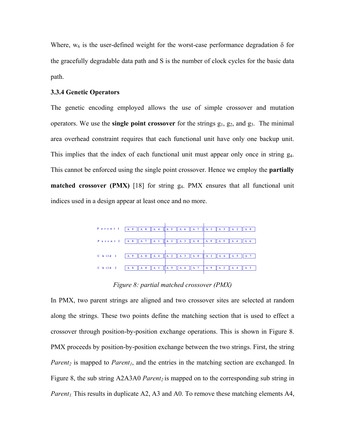Where,  $w_6$  is the user-defined weight for the worst-case performance degradation  $\delta$  for the gracefully degradable data path and S is the number of clock cycles for the basic data path.

### **3.3.4 Genetic Operators**

The genetic encoding employed allows the use of simple crossover and mutation operators. We use the **single point crossover** for the strings  $g_1$ ,  $g_2$ , and  $g_3$ . The minimal area overhead constraint requires that each functional unit have only one backup unit. This implies that the index of each functional unit must appear only once in string  $g_4$ . This cannot be enforced using the single point crossover. Hence we employ the **partially matched crossover (PMX)** [\[18\]](#page-30-8) for string g<sub>4</sub>. PMX ensures that all functional unit indices used in a design appear at least once and no more.



<span id="page-17-0"></span>*Figure 8: partial matched crossover (PMX)*

In PMX, two parent strings are aligned and two crossover sites are selected at random along the strings. These two points define the matching section that is used to effect a crossover through position-by-position exchange operations. This is shown in [Figure 8.](#page-17-0) PMX proceeds by position-by-position exchange between the two strings. First, the string *Parent<sub>2</sub>* is mapped to *Parent<sub>1</sub>*, and the entries in the matching section are exchanged. In [Figure 8,](#page-17-0) the sub string A2A3A0 *Parent*<sub>2</sub> is mapped on to the corresponding sub string in *Parent<sub>1</sub>* This results in duplicate A2, A3 and A0. To remove these matching elements A4,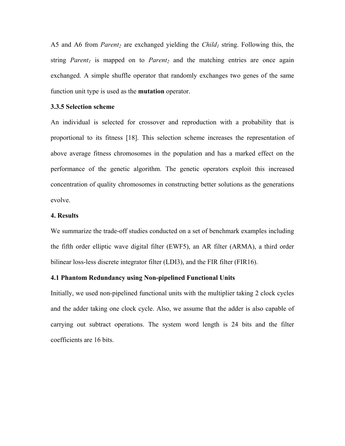A5 and A6 from *Parent*<sub>2</sub> are exchanged yielding the *Child<sub>1</sub>* string. Following this, the string *Parent<sub>1</sub>* is mapped on to *Parent<sub>2</sub>* and the matching entries are once again exchanged. A simple shuffle operator that randomly exchanges two genes of the same function unit type is used as the **mutation** operator.

# **3.3.5 Selection scheme**

An individual is selected for crossover and reproduction with a probability that is proportional to its fitness [\[18\]](#page-30-8). This selection scheme increases the representation of above average fitness chromosomes in the population and has a marked effect on the performance of the genetic algorithm. The genetic operators exploit this increased concentration of quality chromosomes in constructing better solutions as the generations evolve.

# **4. Results**

We summarize the trade-off studies conducted on a set of benchmark examples including the fifth order elliptic wave digital filter (EWF5), an AR filter (ARMA), a third order bilinear loss-less discrete integrator filter (LDI3), and the FIR filter (FIR16).

# **4.1 Phantom Redundancy using Non-pipelined Functional Units**

Initially, we used non-pipelined functional units with the multiplier taking 2 clock cycles and the adder taking one clock cycle. Also, we assume that the adder is also capable of carrying out subtract operations. The system word length is 24 bits and the filter coefficients are 16 bits.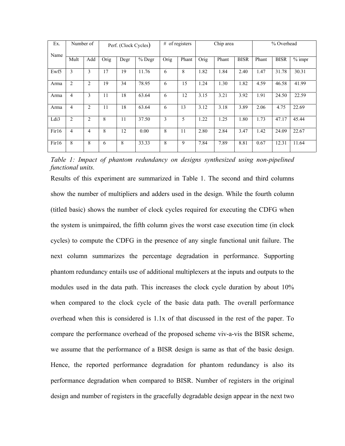| Ex.<br>Name | Number of      |                | Perf. (Clock Cycles) |      |        | # of registers |       |      | Chip area |             | % Overhead |             |          |
|-------------|----------------|----------------|----------------------|------|--------|----------------|-------|------|-----------|-------------|------------|-------------|----------|
|             | Mult           | Add            | Orig                 | Degr | % Degr | Orig           | Phant | Orig | Phant     | <b>BISR</b> | Phant      | <b>BISR</b> | $%$ impr |
| Ewf5        | 3              | 3              | 17                   | 19   | 11.76  | 6              | 8     | 1.82 | 1.84      | 2.40        | 1.47       | 31.78       | 30.31    |
| Arma        | $\overline{c}$ | $\overline{c}$ | 19                   | 34   | 78.95  | 6              | 15    | 1.24 | 1.30      | 1.82        | 4.59       | 46.58       | 41.99    |
| Arma        | 4              | 3              | 11                   | 18   | 63.64  | 6              | 12    | 3.15 | 3.21      | 3.92        | 1.91       | 24.50       | 22.59    |
| Arma        | 4              | $\overline{2}$ | 11                   | 18   | 63.64  | 6              | 13    | 3.12 | 3.18      | 3.89        | 2.06       | 4.75        | 22.69    |
| Ldi3        | $\overline{2}$ | $\overline{2}$ | 8                    | 11   | 37.50  | 3              | 5     | 1.22 | 1.25      | 1.80        | 1.73       | 47.17       | 45.44    |
| First6      | 4              | 4              | 8                    | 12   | 0.00   | 8              | 11    | 2.80 | 2.84      | 3.47        | 1.42       | 24.09       | 22.67    |
| First6      | 8              | 8              | 6                    | 8    | 33.33  | 8              | 9     | 7.84 | 7.89      | 8.81        | 0.67       | 12.31       | 11.64    |

<span id="page-19-0"></span>*Table 1: Impact of phantom redundancy on designs synthesized using non-pipelined functional units.* 

Results of this experiment are summarized in [Table 1.](#page-19-0) The second and third columns show the number of multipliers and adders used in the design. While the fourth column (titled basic) shows the number of clock cycles required for executing the CDFG when the system is unimpaired, the fifth column gives the worst case execution time (in clock cycles) to compute the CDFG in the presence of any single functional unit failure. The next column summarizes the percentage degradation in performance. Supporting phantom redundancy entails use of additional multiplexers at the inputs and outputs to the modules used in the data path. This increases the clock cycle duration by about 10% when compared to the clock cycle of the basic data path. The overall performance overhead when this is considered is 1.1x of that discussed in the rest of the paper. To compare the performance overhead of the proposed scheme viv-a-vis the BISR scheme, we assume that the performance of a BISR design is same as that of the basic design. Hence, the reported performance degradation for phantom redundancy is also its performance degradation when compared to BISR. Number of registers in the original design and number of registers in the gracefully degradable design appear in the next two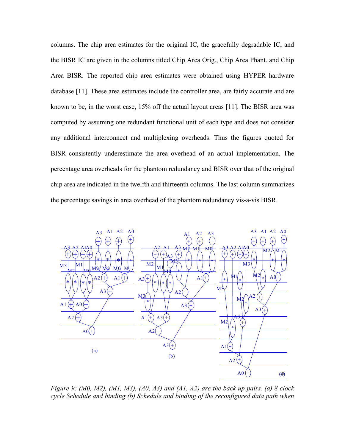columns. The chip area estimates for the original IC, the gracefully degradable IC, and the BISR IC are given in the columns titled Chip Area Orig., Chip Area Phant. and Chip Area BISR. The reported chip area estimates were obtained using HYPER hardware database [\[11\]](#page-29-6). These area estimates include the controller area, are fairly accurate and are known to be, in the worst case, 15% off the actual layout areas [\[11\]](#page-29-6). The BISR area was computed by assuming one redundant functional unit of each type and does not consider any additional interconnect and multiplexing overheads. Thus the figures quoted for BISR consistently underestimate the area overhead of an actual implementation. The percentage area overheads for the phantom redundancy and BISR over that of the original chip area are indicated in the twelfth and thirteenth columns. The last column summarizes the percentage savings in area overhead of the phantom redundancy vis-a-vis BISR.



<span id="page-20-0"></span>*Figure 9: (M0, M2), (M1, M3), (A0, A3) and (A1, A2) are the back up pairs. (a) 8 clock cycle Schedule and binding (b) Schedule and binding of the reconfigured data path when*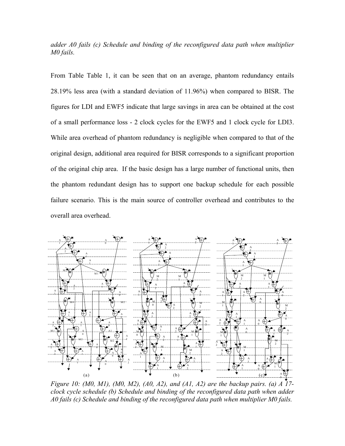*adder A0 fails (c) Schedule and binding of the reconfigured data path when multiplier M0 fails.*

From Table [Table 1,](#page-19-0) it can be seen that on an average, phantom redundancy entails 28.19% less area (with a standard deviation of 11.96%) when compared to BISR. The figures for LDI and EWF5 indicate that large savings in area can be obtained at the cost of a small performance loss - 2 clock cycles for the EWF5 and 1 clock cycle for LDI3. While area overhead of phantom redundancy is negligible when compared to that of the original design, additional area required for BISR corresponds to a significant proportion of the original chip area. If the basic design has a large number of functional units, then the phantom redundant design has to support one backup schedule for each possible failure scenario. This is the main source of controller overhead and contributes to the overall area overhead.



<span id="page-21-0"></span>*Figure 10: (M0, M1), (M0, M2), (A0, A2), and (A1, A2) are the backup pairs. (a) A 17 clock cycle schedule (b) Schedule and binding of the reconfigured data path when adder A0 fails (c) Schedule and binding of the reconfigured data path when multiplier M0 fails.*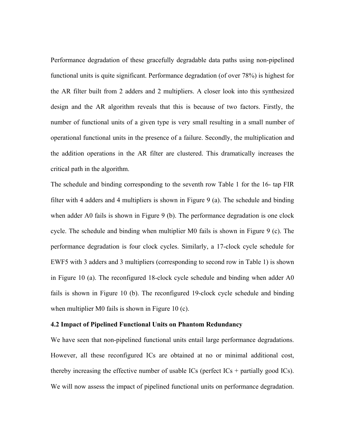Performance degradation of these gracefully degradable data paths using non-pipelined functional units is quite significant. Performance degradation (of over 78%) is highest for the AR filter built from 2 adders and 2 multipliers. A closer look into this synthesized design and the AR algorithm reveals that this is because of two factors. Firstly, the number of functional units of a given type is very small resulting in a small number of operational functional units in the presence of a failure. Secondly, the multiplication and the addition operations in the AR filter are clustered. This dramatically increases the critical path in the algorithm.

The schedule and binding corresponding to the seventh row [Table 1](#page-19-0) for the 16- tap FIR filter with 4 adders and 4 multipliers is shown in [Figure 9](#page-20-0) (a). The schedule and binding when adder A0 fails is shown in [Figure 9](#page-20-0) (b). The performance degradation is one clock cycle. The schedule and binding when multiplier M0 fails is shown in [Figure 9](#page-20-0) (c). The performance degradation is four clock cycles. Similarly, a 17-clock cycle schedule for EWF5 with 3 adders and 3 multipliers (corresponding to second row in [Table 1\)](#page-19-0) is shown in [Figure 10](#page-21-0) (a). The reconfigured 18-clock cycle schedule and binding when adder A0 fails is shown in [Figure 10](#page-21-0) (b). The reconfigured 19-clock cycle schedule and binding when multiplier M0 fails is shown in [Figure 10](#page-21-0) (c).

#### **4.2 Impact of Pipelined Functional Units on Phantom Redundancy**

We have seen that non-pipelined functional units entail large performance degradations. However, all these reconfigured ICs are obtained at no or minimal additional cost, thereby increasing the effective number of usable  $\text{ICs}$  (perfect  $\text{ICs}$  + partially good  $\text{ICs}$ ). We will now assess the impact of pipelined functional units on performance degradation.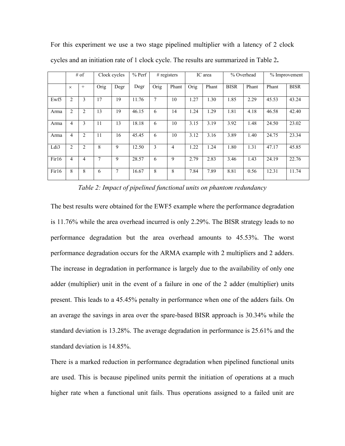|        | $#$ of         |                | Clock cycles |      | $%$ Perf | # registers    |                | IC area |       | % Overhead  |       | % Improvement |             |
|--------|----------------|----------------|--------------|------|----------|----------------|----------------|---------|-------|-------------|-------|---------------|-------------|
|        |                |                |              |      |          |                |                |         |       |             |       |               |             |
|        | $\times$       | $+$            | Orig         | Degr | Degr     | Orig           | Phant          | Orig    | Phant | <b>BISR</b> | Phant | Phant         | <b>BISR</b> |
|        |                |                |              |      |          |                |                |         |       |             |       |               |             |
| Ewf5   | 2              | 3              | 17           | 19   | 11.76    | $\overline{7}$ | 10             | 1.27    | 1.30  | 1.85        | 2.29  | 45.53         | 43.24       |
| Arma   | 2              | $\overline{2}$ | 13           | 19   | 46.15    | 6              | 14             | 1.24    | 1.29  | 1.81        | 4.18  | 46.58         | 42.40       |
| Arma   | 4              | 3              | 11           | 13   | 18.18    | 6              | 10             | 3.15    | 3.19  | 3.92        | 1.48  | 24.50         | 23.02       |
| Arma   | $\overline{4}$ | $\overline{2}$ | 11           | 16   | 45.45    | 6              | 10             | 3.12    | 3.16  | 3.89        | 1.40  | 24.75         | 23.34       |
| Ldi3   | $\overline{2}$ | $\overline{2}$ | 8            | 9    | 12.50    | 3              | $\overline{4}$ | 1.22    | 1.24  | 1.80        | 1.31  | 47.17         | 45.85       |
| First6 | $\overline{4}$ | 4              | 7            | 9    | 28.57    | 6              | 9              | 2.79    | 2.83  | 3.46        | 1.43  | 24.19         | 22.76       |
| First6 | 8              | 8              | 6            | 7    | 16.67    | 8              | 8              | 7.84    | 7.89  | 8.81        | 0.56  | 12.31         | 11.74       |

For this experiment we use a two stage pipelined multiplier with a latency of 2 clock cycles and an initiation rate of 1 clock cycle. The results are summarized in [Table 2](#page-23-0)**.** 

<span id="page-23-0"></span>*Table 2: Impact of pipelined functional units on phantom redundancy* 

The best results were obtained for the EWF5 example where the performance degradation is 11.76% while the area overhead incurred is only 2.29%. The BISR strategy leads to no performance degradation but the area overhead amounts to 45.53%. The worst performance degradation occurs for the ARMA example with 2 multipliers and 2 adders. The increase in degradation in performance is largely due to the availability of only one adder (multiplier) unit in the event of a failure in one of the 2 adder (multiplier) units present. This leads to a 45.45% penalty in performance when one of the adders fails. On an average the savings in area over the spare-based BISR approach is 30.34% while the standard deviation is 13.28%. The average degradation in performance is 25.61% and the standard deviation is 14.85%.

There is a marked reduction in performance degradation when pipelined functional units are used. This is because pipelined units permit the initiation of operations at a much higher rate when a functional unit fails. Thus operations assigned to a failed unit are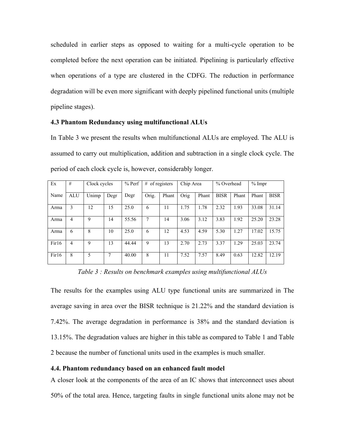scheduled in earlier steps as opposed to waiting for a multi-cycle operation to be completed before the next operation can be initiated. Pipelining is particularly effective when operations of a type are clustered in the CDFG. The reduction in performance degradation will be even more significant with deeply pipelined functional units (multiple pipeline stages).

#### **4.3 Phantom Redundancy using multifunctional ALUs**

In [Table 3](#page-24-0) we present the results when multifunctional ALUs are employed. The ALU is assumed to carry out multiplication, addition and subtraction in a single clock cycle. The period of each clock cycle is, however, considerably longer.

| Ex     | #          | Clock cycles |      | $%$ Perf | # of registers |       | Chip Area |       | % Overhead  |       | $%$ Impr |             |
|--------|------------|--------------|------|----------|----------------|-------|-----------|-------|-------------|-------|----------|-------------|
| Name   | <b>ALU</b> | Unimp        | Degr | Degr     | Orig.          | Phant | Orig      | Phant | <b>BISR</b> | Phant | Phant    | <b>BISR</b> |
| Arma   | 3          | 12           | 15   | 25.0     | 6              | 11    | 1.75      | 1.78  | 2.32        | 1.93  | 33.08    | 31.14       |
| Arma   | 4          | 9            | 14   | 55.56    | 7              | 14    | 3.06      | 3.12  | 3.83        | 1.92  | 25.20    | 23.28       |
| Arma   | 6          | 8            | 10   | 25.0     | 6              | 12    | 4.53      | 4.59  | 5.30        | 1.27  | 17.02    | 15.75       |
| First6 | 4          | 9            | 13   | 44.44    | 9              | 13    | 2.70      | 2.73  | 3.37        | 1.29  | 25.03    | 23.74       |
| First6 | 8          | 5            | 7    | 40.00    | 8              | 11    | 7.52      | 7.57  | 8.49        | 0.63  | 12.82    | 12.19       |

<span id="page-24-0"></span>*Table 3 : Results on benchmark examples using multifunctional ALUs* 

The results for the examples using ALU type functional units are summarized in The average saving in area over the BISR technique is 21.22% and the standard deviation is 7.42%. The average degradation in performance is 38% and the standard deviation is 13.15%. The degradation values are higher in this table as compared to [Table 1](#page-19-0) and [Table](#page-23-0)  [2](#page-23-0) because the number of functional units used in the examples is much smaller.

# **4.4. Phantom redundancy based on an enhanced fault model**

A closer look at the components of the area of an IC shows that interconnect uses about 50% of the total area. Hence, targeting faults in single functional units alone may not be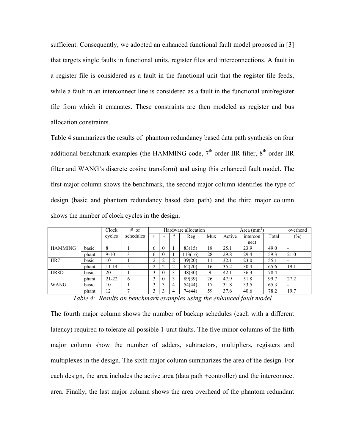sufficient. Consequently, we adopted an enhanced functional fault model proposed in [\[3\]](#page-29-2) that targets single faults in functional units, register files and interconnections. A fault in a register file is considered as a fault in the functional unit that the register file feeds, while a fault in an interconnect line is considered as a fault in the functional unit/register file from which it emanates. These constraints are then modeled as register and bus allocation constraints.

[Table 4](#page-25-0) summarizes the results of phantom redundancy based data path synthesis on four additional benchmark examples (the HAMMING code,  $7<sup>th</sup>$  order IIR filter,  $8<sup>th</sup>$  order IIR filter and WANG's discrete cosine transform) and using this enhanced fault model. The first major column shows the benchmark, the second major column identifies the type of design (basic and phantom redundancy based data path) and the third major column shows the number of clock cycles in the design.

|                |       | Clock     | # of      |        |   |   | Hardware allocation |     | Area $(mm^2)$ | overhead |       |                          |
|----------------|-------|-----------|-----------|--------|---|---|---------------------|-----|---------------|----------|-------|--------------------------|
|                |       | cycles    | schedules | $^{+}$ |   | * | Reg                 | Mux | Active        | intercon | Total | $(\%)$                   |
|                |       |           |           |        |   |   |                     |     |               | nect     |       |                          |
| <b>HAMMING</b> | basic | 8         |           | b      |   |   | 83(15)              | 18  | 25.1          | 23.9     | 49.0  | $\overline{\phantom{0}}$ |
|                | phant | $9-10$    | 3         | 6      |   |   | 113(16)             | 28  | 29.8          | 29.4     | 59.3  | 21.0                     |
| IIR7           | basic | 10        |           | ↑      |   | ∍ | 39(20)              | 11  | 32.1          | 23.0     | 55.1  | $\overline{\phantom{a}}$ |
|                | phant | 11-14     |           | ↑      |   | ∍ | 62(20)              | 16  | 35.2          | 30.4     | 65.6  | 19.1                     |
| IIR8D          | basic | 20        |           | 3      | O | 3 | 48(30)              | 9   | 42.1          | 36.3     | 78.4  | ۰                        |
|                | phant | $21 - 22$ | 6         | 3      | v | 3 | 89(39)              | 26  | 47.9          | 51.8     | 99.7  | 27.2                     |
| <b>WANG</b>    | basic | 10        |           | 3      |   | 4 | 54(44)              | 17  | 31.8          | 33.5     | 65.3  | $\overline{\phantom{0}}$ |
|                | phant | 12        |           | 3      |   | 4 | 74(44)              | 59  | 37.6          | 40.6     | 78.2  | 19.7                     |

<span id="page-25-0"></span>*Table 4: Results on benchmark examples using the enhanced fault model*

The fourth major column shows the number of backup schedules (each with a different latency) required to tolerate all possible 1-unit faults. The five minor columns of the fifth major column show the number of adders, subtractors, multipliers, registers and multiplexes in the design. The sixth major column summarizes the area of the design. For each design, the area includes the active area (data path +controller) and the interconnect area. Finally, the last major column shows the area overhead of the phantom redundant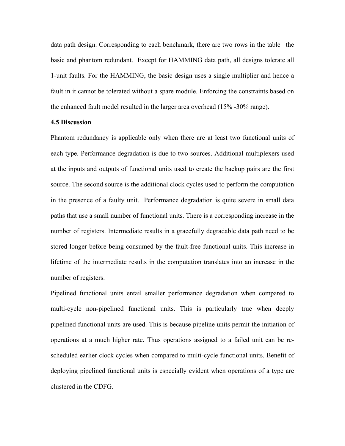data path design. Corresponding to each benchmark, there are two rows in the table –the basic and phantom redundant. Except for HAMMING data path, all designs tolerate all 1-unit faults. For the HAMMING, the basic design uses a single multiplier and hence a fault in it cannot be tolerated without a spare module. Enforcing the constraints based on the enhanced fault model resulted in the larger area overhead (15% -30% range).

#### **4.5 Discussion**

Phantom redundancy is applicable only when there are at least two functional units of each type. Performance degradation is due to two sources. Additional multiplexers used at the inputs and outputs of functional units used to create the backup pairs are the first source. The second source is the additional clock cycles used to perform the computation in the presence of a faulty unit. Performance degradation is quite severe in small data paths that use a small number of functional units. There is a corresponding increase in the number of registers. Intermediate results in a gracefully degradable data path need to be stored longer before being consumed by the fault-free functional units. This increase in lifetime of the intermediate results in the computation translates into an increase in the number of registers.

Pipelined functional units entail smaller performance degradation when compared to multi-cycle non-pipelined functional units. This is particularly true when deeply pipelined functional units are used. This is because pipeline units permit the initiation of operations at a much higher rate. Thus operations assigned to a failed unit can be rescheduled earlier clock cycles when compared to multi-cycle functional units. Benefit of deploying pipelined functional units is especially evident when operations of a type are clustered in the CDFG.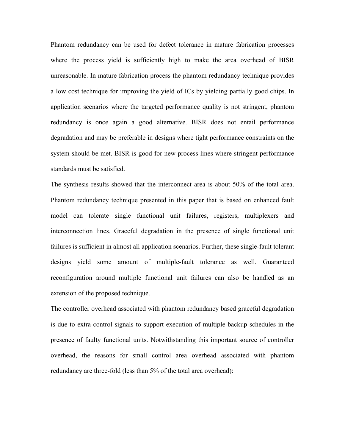Phantom redundancy can be used for defect tolerance in mature fabrication processes where the process yield is sufficiently high to make the area overhead of BISR unreasonable. In mature fabrication process the phantom redundancy technique provides a low cost technique for improving the yield of ICs by yielding partially good chips. In application scenarios where the targeted performance quality is not stringent, phantom redundancy is once again a good alternative. BISR does not entail performance degradation and may be preferable in designs where tight performance constraints on the system should be met. BISR is good for new process lines where stringent performance standards must be satisfied.

The synthesis results showed that the interconnect area is about 50% of the total area. Phantom redundancy technique presented in this paper that is based on enhanced fault model can tolerate single functional unit failures, registers, multiplexers and interconnection lines. Graceful degradation in the presence of single functional unit failures is sufficient in almost all application scenarios. Further, these single-fault tolerant designs yield some amount of multiple-fault tolerance as well. Guaranteed reconfiguration around multiple functional unit failures can also be handled as an extension of the proposed technique.

The controller overhead associated with phantom redundancy based graceful degradation is due to extra control signals to support execution of multiple backup schedules in the presence of faulty functional units. Notwithstanding this important source of controller overhead, the reasons for small control area overhead associated with phantom redundancy are three-fold (less than 5% of the total area overhead):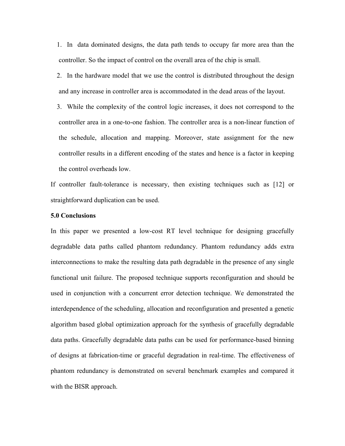1. In data dominated designs, the data path tends to occupy far more area than the controller. So the impact of control on the overall area of the chip is small.

- 2. In the hardware model that we use the control is distributed throughout the design and any increase in controller area is accommodated in the dead areas of the layout.
- 3. While the complexity of the control logic increases, it does not correspond to the controller area in a one-to-one fashion. The controller area is a non-linear function of the schedule, allocation and mapping. Moreover, state assignment for the new controller results in a different encoding of the states and hence is a factor in keeping the control overheads low.

If controller fault-tolerance is necessary, then existing techniques such as [\[12\]](#page-29-11) or straightforward duplication can be used.

#### **5.0 Conclusions**

In this paper we presented a low-cost RT level technique for designing gracefully degradable data paths called phantom redundancy. Phantom redundancy adds extra interconnections to make the resulting data path degradable in the presence of any single functional unit failure. The proposed technique supports reconfiguration and should be used in conjunction with a concurrent error detection technique. We demonstrated the interdependence of the scheduling, allocation and reconfiguration and presented a genetic algorithm based global optimization approach for the synthesis of gracefully degradable data paths. Gracefully degradable data paths can be used for performance-based binning of designs at fabrication-time or graceful degradation in real-time. The effectiveness of phantom redundancy is demonstrated on several benchmark examples and compared it with the BISR approach.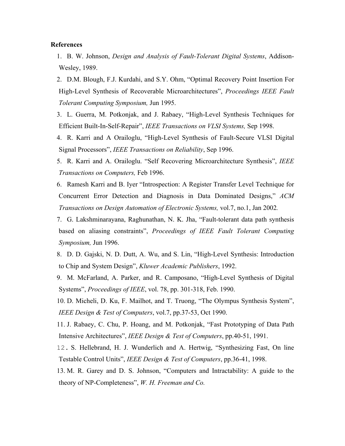#### **References**

- <span id="page-29-0"></span>1. B. W. Johnson, *Design and Analysis of Fault-Tolerant Digital Systems*, Addison-Wesley, 1989.
- <span id="page-29-7"></span>2. D.M. Blough, F.J. Kurdahi, and S.Y. Ohm, "Optimal Recovery Point Insertion For High-Level Synthesis of Recoverable Microarchitectures", *Proceedings IEEE Fault Tolerant Computing Symposium,* Jun 1995.
- <span id="page-29-2"></span>3. L. Guerra, M. Potkonjak, and J. Rabaey, "High-Level Synthesis Techniques for Efficient Built-In-Self-Repair", *IEEE Transactions on VLSI Systems,* Sep 1998.
- <span id="page-29-8"></span>4. R. Karri and A Orailoglu, "High-Level Synthesis of Fault-Secure VLSI Digital Signal Processors", *IEEE Transactions on Reliability*, Sep 1996.
- <span id="page-29-9"></span>5. R. Karri and A. Orailoglu. "Self Recovering Microarchitecture Synthesis", *IEEE Transactions on Computers,* Feb 1996.
- <span id="page-29-1"></span>6. Ramesh Karri and B. Iyer "Introspection: A Register Transfer Level Technique for Concurrent Error Detection and Diagnosis in Data Dominated Designs," *ACM Transactions on Design Automation of Electronic Systems,* vol.7, no.1, Jan 2002*.*

<span id="page-29-10"></span>7. G. Lakshminarayana, Raghunathan, N. K. Jha, "Fault-tolerant data path synthesis based on aliasing constraints", *Proceedings of IEEE Fault Tolerant Computing Symposium,* Jun 1996.

- <span id="page-29-3"></span>8. D. D. Gajski, N. D. Dutt, A. Wu, and S. Lin, "High-Level Synthesis: Introduction to Chip and System Design", *Kluwer Academic Publishers*, 1992.
- <span id="page-29-4"></span>9. M. McFarland, A. Parker, and R. Camposano, "High-Level Synthesis of Digital Systems", *Proceedings of IEEE*, vol. 78, pp. 301-318, Feb. 1990.
- <span id="page-29-5"></span>10. D. Micheli, D. Ku, F. Mailhot, and T. Truong, "The Olympus Synthesis System", *IEEE Design & Test of Computers*, vol.7, pp.37-53, Oct 1990.
- <span id="page-29-6"></span>11. J. Rabaey, C. Chu, P. Hoang, and M. Potkonjak, "Fast Prototyping of Data Path Intensive Architectures", *IEEE Design & Test of Computers*, pp.40-51, 1991.
- <span id="page-29-11"></span>12. S. Hellebrand, H. J. Wunderlich and A. Hertwig, "Synthesizing Fast, On line Testable Control Units", *IEEE Design & Test of Computers*, pp.36-41, 1998.
- <span id="page-29-12"></span>13. M. R. Garey and D. S. Johnson, "Computers and Intractability: A guide to the theory of NP-Completeness", *W. H. Freeman and Co.*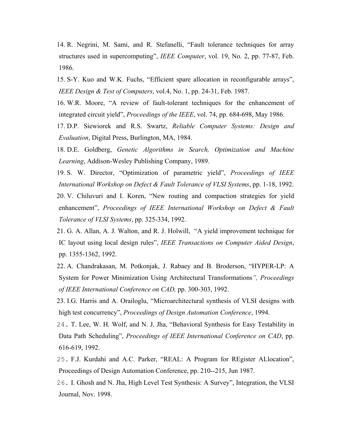<span id="page-30-0"></span>14. R. Negrini, M. Sami, and R. Stefanelli, "Fault tolerance techniques for array structures used in supercomputing", *IEEE Computer*, vol. 19, No. 2, pp. 77-87, Feb. 1986.

<span id="page-30-1"></span>15. S-Y. Kuo and W.K. Fuchs, "Efficient spare allocation in reconfigurable arrays", *IEEE Design & Test of Computers*, vol.4, No. 1, pp. 24-31, Feb. 1987.

16. W.R. Moore, "A review of fault-tolerant techniques for the enhancement of integrated circuit yield", *Proceedings of the IEEE*, vol. 74, pp. 684-698, May 1986.

17. D.P. Siewiorek and R.S. Swartz, *Reliable Computer Systems: Design and Evaluation*, Digital Press, Burlington, MA, 1984.

<span id="page-30-8"></span>18. D.E. Goldberg, *Genetic Algorithms in Search, Optimization and Machine Learning*, Addison-Wesley Publishing Company, 1989.

<span id="page-30-3"></span><span id="page-30-2"></span>19. S. W. Director, "Optimization of parametric yield", *Proceedings of IEEE International Workshop on Defect & Fault Tolerance of VLSI Systems*, pp. 1-18, 1992. 20. V. Chiluvuri and I. Koren, "New routing and compaction strategies for yield enhancement", *Proceedings of IEEE International Workshop on Defect & Fault Tolerance of VLSI Systems*, pp. 325-334, 1992.

<span id="page-30-4"></span>21. G. A. Allan, A. J. Walton, and R. J. Holwill, "A yield improvement technique for IC layout using local design rules", *IEEE Transactions on Computer Aided Design*, pp. 1355-1362, 1992.

<span id="page-30-5"></span>22. A. Chandrakasan, M. Potkonjak, J. Rabaey and B. Broderson, "HYPER-LP: A System for Power Minimization Using Architectural Transformations*", Proceedings of IEEE International Conference on CAD,* pp. 300-303, 1992.

<span id="page-30-7"></span>23. I.G. Harris and A. Orailoglu, "Microarchitectural synthesis of VLSI designs with high test concurrency", *Proceedings of Design Automation Conference*, 1994.

<span id="page-30-6"></span>24. T. Lee, W. H. Wolf, and N. J. Jha, "Behavioral Synthesis for Easy Testability in Data Path Scheduling", *Proceedings of IEEE International Conference on CAD*, pp. 616-619, 1992.

<span id="page-30-9"></span>25. F.J. Kurdahi and A.C. Parker, "REAL: A Program for REgister ALlocation", Proceedings of Design Automation Conference, pp. 210--215, Jun 1987.

26. I. Ghosh and N. Jha, High Level Test Synthesis: A Survey", Integration, the VLSI Journal, Nov. 1998.